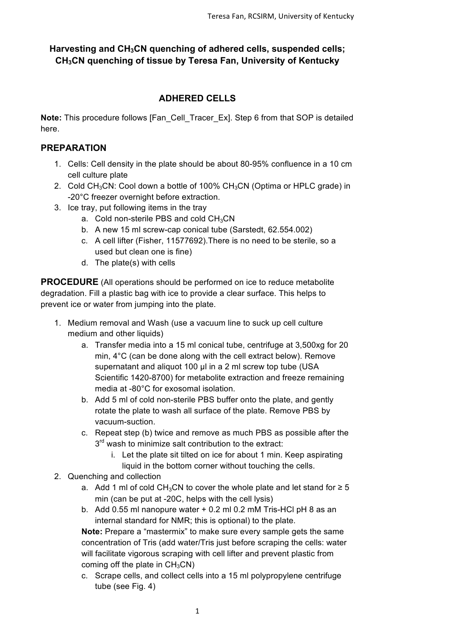# Harvesting and CH<sub>3</sub>CN quenching of adhered cells, suspended cells; **CH3CN quenching of tissue by Teresa Fan, University of Kentucky**

# **ADHERED CELLS**

**Note:** This procedure follows [Fan\_Cell\_Tracer\_Ex]. Step 6 from that SOP is detailed here.

#### **PREPARATION**

- 1. Cells: Cell density in the plate should be about 80-95% confluence in a 10 cm cell culture plate
- 2. Cold CH<sub>3</sub>CN: Cool down a bottle of 100% CH<sub>3</sub>CN (Optima or HPLC grade) in -20°C freezer overnight before extraction.
- 3. Ice tray, put following items in the tray
	- a. Cold non-sterile PBS and cold  $CH<sub>3</sub>CN$
	- b. A new 15 ml screw-cap conical tube (Sarstedt, 62.554.002)
	- c. A cell lifter (Fisher, 11577692).There is no need to be sterile, so a used but clean one is fine)
	- d. The plate(s) with cells

**PROCEDURE** (All operations should be performed on ice to reduce metabolite degradation. Fill a plastic bag with ice to provide a clear surface. This helps to prevent ice or water from jumping into the plate.

- 1. Medium removal and Wash (use a vacuum line to suck up cell culture medium and other liquids)
	- a. Transfer media into a 15 ml conical tube, centrifuge at 3,500xg for 20 min, 4°C (can be done along with the cell extract below). Remove supernatant and aliquot 100 µl in a 2 ml screw top tube (USA Scientific 1420-8700) for metabolite extraction and freeze remaining media at -80°C for exosomal isolation.
	- b. Add 5 ml of cold non-sterile PBS buffer onto the plate, and gently rotate the plate to wash all surface of the plate. Remove PBS by vacuum-suction.
	- c. Repeat step (b) twice and remove as much PBS as possible after the  $3<sup>rd</sup>$  wash to minimize salt contribution to the extract:
		- i. Let the plate sit tilted on ice for about 1 min. Keep aspirating liquid in the bottom corner without touching the cells.
- 2. Quenching and collection
	- a. Add 1 ml of cold CH<sub>3</sub>CN to cover the whole plate and let stand for  $\geq 5$ min (can be put at -20C, helps with the cell lysis)
	- b. Add 0.55 ml nanopure water + 0.2 ml 0.2 mM Tris-HCl pH 8 as an internal standard for NMR; this is optional) to the plate.

**Note:** Prepare a "mastermix" to make sure every sample gets the same concentration of Tris (add water/Tris just before scraping the cells: water will facilitate vigorous scraping with cell lifter and prevent plastic from coming off the plate in  $CH<sub>3</sub>CN$ )

c. Scrape cells, and collect cells into a 15 ml polypropylene centrifuge tube (see Fig. 4)